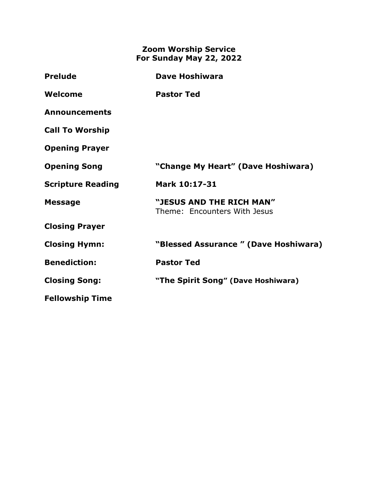## **Zoom Worship Service For Sunday May 22, 2022**

| <b>Prelude</b>           | <b>Dave Hoshiwara</b>                                    |
|--------------------------|----------------------------------------------------------|
| Welcome                  | <b>Pastor Ted</b>                                        |
| <b>Announcements</b>     |                                                          |
| <b>Call To Worship</b>   |                                                          |
| <b>Opening Prayer</b>    |                                                          |
| <b>Opening Song</b>      | "Change My Heart" (Dave Hoshiwara)                       |
| <b>Scripture Reading</b> | Mark 10:17-31                                            |
| <b>Message</b>           | "JESUS AND THE RICH MAN"<br>Theme: Encounters With Jesus |
| <b>Closing Prayer</b>    |                                                          |
| <b>Closing Hymn:</b>     | "Blessed Assurance " (Dave Hoshiwara)                    |
| <b>Benediction:</b>      | <b>Pastor Ted</b>                                        |
| <b>Closing Song:</b>     | "The Spirit Song" (Dave Hoshiwara)                       |
| <b>Fellowship Time</b>   |                                                          |